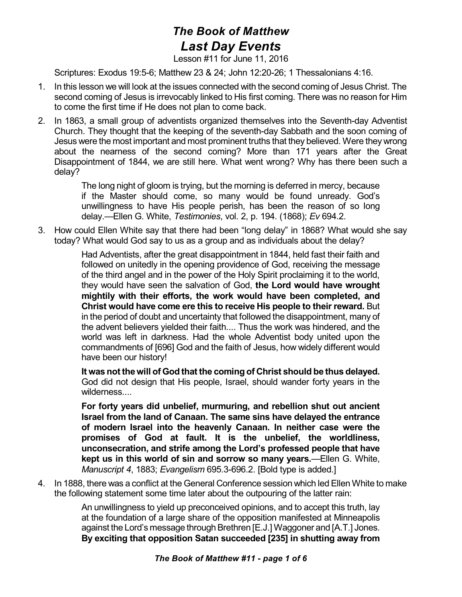## *The Book of Matthew Last Day Events*

Lesson #11 for June 11, 2016

Scriptures: Exodus 19:5-6; Matthew 23 & 24; John 12:20-26; 1 Thessalonians 4:16.

- 1. In this lesson we will look at the issues connected with the second coming of Jesus Christ. The second coming of Jesus is irrevocably linked to His first coming. There was no reason for Him to come the first time if He does not plan to come back.
- 2. In 1863, a small group of adventists organized themselves into the Seventh-day Adventist Church. They thought that the keeping of the seventh-day Sabbath and the soon coming of Jesus were the most important and most prominent truths that they believed. Were they wrong about the nearness of the second coming? More than 171 years after the Great Disappointment of 1844, we are still here. What went wrong? Why has there been such a delay?

The long night of gloom is trying, but the morning is deferred in mercy, because if the Master should come, so many would be found unready. God's unwillingness to have His people perish, has been the reason of so long delay.—Ellen G. White, *Testimonies*, vol. 2, p. 194. (1868); *Ev* 694.2.

3. How could Ellen White say that there had been "long delay" in 1868? What would she say today? What would God say to us as a group and as individuals about the delay?

> Had Adventists, after the great disappointment in 1844, held fast their faith and followed on unitedly in the opening providence of God, receiving the message of the third angel and in the power of the Holy Spirit proclaiming it to the world, they would have seen the salvation of God, **the Lord would have wrought mightily with their efforts, the work would have been completed, and Christ would have come ere this to receive His people to their reward.** But in the period of doubt and uncertainty that followed the disappointment, many of the advent believers yielded their faith.... Thus the work was hindered, and the world was left in darkness. Had the whole Adventist body united upon the commandments of [696] God and the faith of Jesus, how widely different would have been our history!

> **It was not thewill of God that the coming of Christ should be thus delayed.** God did not design that His people, Israel, should wander forty years in the wilderness....

> **For forty years did unbelief, murmuring, and rebellion shut out ancient Israel from the land of Canaan. The same sins have delayed the entrance of modern Israel into the heavenly Canaan. In neither case were the promises of God at fault. It is the unbelief, the worldliness, unconsecration, and strife among the Lord's professed people that have kept us in this world of sin and sorrow so many years.**—Ellen G. White, *Manuscript 4*, 1883; *Evangelism* 695.3-696.2. [Bold type is added.]

4. In 1888, there was a conflict at the General Conference session which led Ellen White to make the following statement some time later about the outpouring of the latter rain:

> An unwillingness to yield up preconceived opinions, and to accept this truth, lay at the foundation of a large share of the opposition manifested at Minneapolis against the Lord's message through Brethren [E.J.] Waggoner and [A.T.] Jones. **By exciting that opposition Satan succeeded [235] in shutting away from**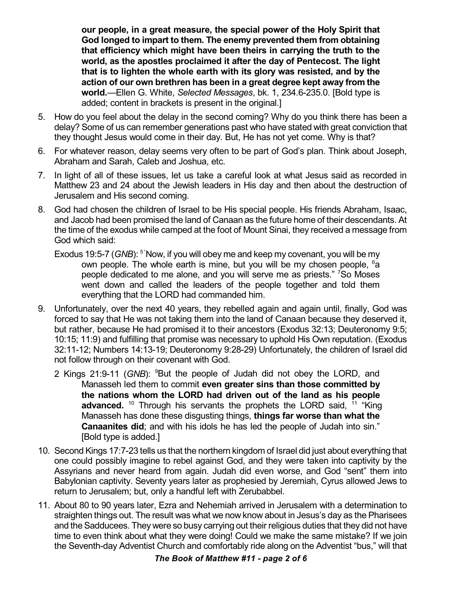**our people, in a great measure, the special power of the Holy Spirit that God longed to impart to them. The enemy prevented them from obtaining that efficiency which might have been theirs in carrying the truth to the world, as the apostles proclaimed it after the day of Pentecost. The light that is to lighten the whole earth with its glory was resisted, and by the action of our own brethren has been in a great degree kept away from the world.**—Ellen G. White, *Selected Messages*, bk. 1, 234.6-235.0. [Bold type is added; content in brackets is present in the original.]

- 5. How do you feel about the delay in the second coming? Why do you think there has been a delay? Some of us can remember generations past who have stated with great conviction that they thought Jesus would come in their day. But, He has not yet come. Why is that?
- 6. For whatever reason, delay seems very often to be part of God's plan. Think about Joseph, Abraham and Sarah, Caleb and Joshua, etc.
- 7. In light of all of these issues, let us take a careful look at what Jesus said as recorded in Matthew 23 and 24 about the Jewish leaders in His day and then about the destruction of Jerusalem and His second coming.
- 8. God had chosen the children of Israel to be His special people. His friends Abraham, Isaac, and Jacob had been promised the land of Canaan as the future home of their descendants. At the time of the exodus while camped at the foot of Mount Sinai, they received a message from God which said:
	- Exodus 19:5-7 (GNB): <sup>5</sup> "Now, if you will obey me and keep my covenant, you will be my own people. The whole earth is mine, but you will be my chosen people, 6a people dedicated to me alone, and you will serve me as priests." <sup>7</sup>So Moses went down and called the leaders of the people together and told them everything that the LORD had commanded him.
- 9. Unfortunately, over the next 40 years, they rebelled again and again until, finally, God was forced to say that He was not taking them into the land of Canaan because they deserved it, but rather, because He had promised it to their ancestors (Exodus 32:13; Deuteronomy 9:5; 10:15; 11:9) and fulfilling that promise was necessary to uphold His Own reputation. (Exodus 32:11-12; Numbers 14:13-19; Deuteronomy 9:28-29) Unfortunately, the children of Israel did not follow through on their covenant with God.
	- 2 Kings 21:9-11 (GNB): <sup>9</sup>But the people of Judah did not obey the LORD, and Manasseh led them to commit **even greater sins than those committed by the nations whom the LORD had driven out of the land as his people** advanced.<sup>10</sup> Through his servants the prophets the LORD said, <sup>11</sup> "King Manasseh has done these disgusting things, **things far worse than what the Canaanites did**; and with his idols he has led the people of Judah into sin." [Bold type is added.]
- 10. Second Kings 17:7-23 tells us that the northern kingdom of Israel did just about everything that one could possibly imagine to rebel against God, and they were taken into captivity by the Assyrians and never heard from again. Judah did even worse, and God "sent" them into Babylonian captivity. Seventy years later as prophesied by Jeremiah, Cyrus allowed Jews to return to Jerusalem; but, only a handful left with Zerubabbel.
- 11. About 80 to 90 years later, Ezra and Nehemiah arrived in Jerusalem with a determination to straighten things out. The result was what we now know about in Jesus's day as the Pharisees and the Sadducees. They were so busy carrying out their religious duties that they did not have time to even think about what they were doing! Could we make the same mistake? If we join the Seventh-day Adventist Church and comfortably ride along on the Adventist "bus," will that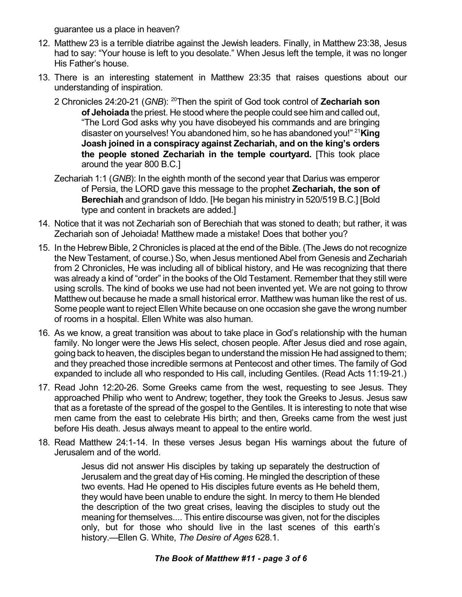guarantee us a place in heaven?

- 12. Matthew 23 is a terrible diatribe against the Jewish leaders. Finally, in Matthew 23:38, Jesus had to say: "Your house is left to you desolate." When Jesus left the temple, it was no longer His Father's house.
- 13. There is an interesting statement in Matthew 23:35 that raises questions about our understanding of inspiration.
	- 2 Chronicles 24:20-21 (GNB): <sup>20</sup>Then the spirit of God took control of **Zechariah son of Jehoiada** the priest. He stood where the people could see him and called out, "The Lord God asks why you have disobeyed his commands and are bringing disaster on yourselves! You abandoned him, so he has abandoned you!" <sup>21</sup>**King Joash joined in a conspiracy against Zechariah, and on the king's orders the people stoned Zechariah in the temple courtyard.** [This took place around the year 800 B.C.]
	- Zechariah 1:1 (*GNB*): In the eighth month of the second year that Darius was emperor of Persia, the LORD gave this message to the prophet **Zechariah, the son of Berechiah** and grandson of Iddo. [He began his ministry in 520/519 B.C.] [Bold type and content in brackets are added.]
- 14. Notice that it was not Zechariah son of Berechiah that was stoned to death; but rather, it was Zechariah son of Jehoiada! Matthew made a mistake! Does that bother you?
- 15. In the Hebrew Bible, 2 Chronicles is placed at the end of the Bible. (The Jews do not recognize the New Testament, of course.) So, when Jesus mentioned Abel from Genesis and Zechariah from 2 Chronicles, He was including all of biblical history, and He was recognizing that there was already a kind of "order" in the books of the Old Testament. Remember that they still were using scrolls. The kind of books we use had not been invented yet. We are not going to throw Matthew out because he made a small historical error. Matthew was human like the rest of us. Some people want to reject Ellen White because on one occasion she gave the wrong number of rooms in a hospital. Ellen White was also human.
- 16. As we know, a great transition was about to take place in God's relationship with the human family. No longer were the Jews His select, chosen people. After Jesus died and rose again, going back to heaven, the disciples began to understand the mission He had assigned to them; and they preached those incredible sermons at Pentecost and other times. The family of God expanded to include all who responded to His call, including Gentiles. (Read Acts 11:19-21.)
- 17. Read John 12:20-26. Some Greeks came from the west, requesting to see Jesus. They approached Philip who went to Andrew; together, they took the Greeks to Jesus. Jesus saw that as a foretaste of the spread of the gospel to the Gentiles. It is interesting to note that wise men came from the east to celebrate His birth; and then, Greeks came from the west just before His death. Jesus always meant to appeal to the entire world.
- 18. Read Matthew 24:1-14. In these verses Jesus began His warnings about the future of Jerusalem and of the world.

Jesus did not answer His disciples by taking up separately the destruction of Jerusalem and the great day of His coming. He mingled the description of these two events. Had He opened to His disciples future events as He beheld them, they would have been unable to endure the sight. In mercy to them He blended the description of the two great crises, leaving the disciples to study out the meaning for themselves.... This entire discourse was given, not for the disciples only, but for those who should live in the last scenes of this earth's history.—Ellen G. White, *The Desire of Ages* 628.1.

## *The Book of Matthew #11 - page 3 of 6*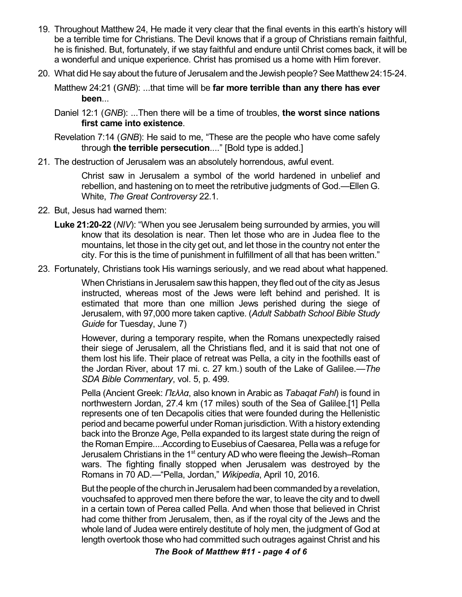- 19. Throughout Matthew 24, He made it very clear that the final events in this earth's history will be a terrible time for Christians. The Devil knows that if a group of Christians remain faithful, he is finished. But, fortunately, if we stay faithful and endure until Christ comes back, it will be a wonderful and unique experience. Christ has promised us a home with Him forever.
- 20. What did He say about the future of Jerusalem and the Jewish people?See Matthew24:15-24.

Matthew 24:21 (*GNB*): ...that time will be **far more terrible than any there has ever been**...

Daniel 12:1 (*GNB*): ...Then there will be a time of troubles, **the worst since nations first came into existence**.

Revelation 7:14 (*GNB*): He said to me, "These are the people who have come safely through **the terrible persecution**...." [Bold type is added.]

21. The destruction of Jerusalem was an absolutely horrendous, awful event.

Christ saw in Jerusalem a symbol of the world hardened in unbelief and rebellion, and hastening on to meet the retributive judgments of God.—Ellen G. White, *The Great Controversy* 22.1.

- 22. But, Jesus had warned them:
	- **Luke 21:20-22** (*NIV*): "When you see Jerusalem being surrounded by armies, you will know that its desolation is near. Then let those who are in Judea flee to the mountains, let those in the city get out, and let those in the country not enter the city. For this is the time of punishment in fulfillment of all that has been written."
- 23. Fortunately, Christians took His warnings seriously, and we read about what happened.

When Christians in Jerusalem sawthis happen, they fled out of the city as Jesus instructed, whereas most of the Jews were left behind and perished. It is estimated that more than one million Jews perished during the siege of Jerusalem, with 97,000 more taken captive. (*Adult Sabbath School Bible Study Guide* for Tuesday, June 7)

However, during a temporary respite, when the Romans unexpectedly raised their siege of Jerusalem, all the Christians fled, and it is said that not one of them lost his life. Their place of retreat was Pella, a city in the foothills east of the Jordan River, about 17 mi. c. 27 km.) south of the Lake of Galilee.—*The SDA Bible Commentary*, vol. 5, p. 499.

Pella (Ancient Greek: *Ðåëëá*, also known in Arabic as *Tabaqat Fahl*) is found in northwestern Jordan, 27.4 km (17 miles) south of the Sea of Galilee.[1] Pella represents one of ten Decapolis cities that were founded during the Hellenistic period and became powerful under Roman jurisdiction. With a history extending back into the Bronze Age, Pella expanded to its largest state during the reign of the Roman Empire....According to Eusebius of Caesarea, Pella was a refuge for Jerusalem Christians in the 1<sup>st</sup> century AD who were fleeing the Jewish–Roman wars. The fighting finally stopped when Jerusalem was destroyed by the Romans in 70 AD.—"Pella, Jordan," *Wikipedia*, April 10, 2016.

But the people of the church in Jerusalem had been commanded by a revelation, vouchsafed to approved men there before the war, to leave the city and to dwell in a certain town of Perea called Pella. And when those that believed in Christ had come thither from Jerusalem, then, as if the royal city of the Jews and the whole land of Judea were entirely destitute of holy men, the judgment of God at length overtook those who had committed such outrages against Christ and his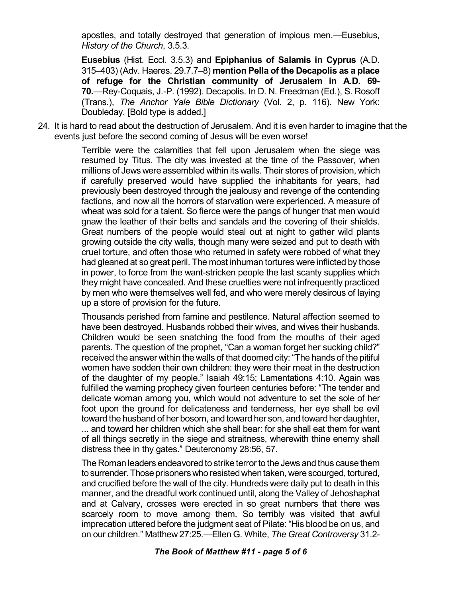apostles, and totally destroyed that generation of impious men.—Eusebius, *History of the Church*, 3.5.3.

**Eusebius** (Hist. Eccl. 3.5.3) and **Epiphanius of Salamis in Cyprus** (A.D. 315–403) (Adv. Haeres. 29.7.7–8) **mention Pella of the Decapolis as a place of refuge for the Christian community of Jerusalem in A.D. 69- 70.**—Rey-Coquais, J.-P. (1992). Decapolis. In D. N. Freedman (Ed.), S. Rosoff (Trans.), *The Anchor Yale Bible Dictionary* (Vol. 2, p. 116). New York: Doubleday. [Bold type is added.]

24. It is hard to read about the destruction of Jerusalem. And it is even harder to imagine that the events just before the second coming of Jesus will be even worse!

> Terrible were the calamities that fell upon Jerusalem when the siege was resumed by Titus. The city was invested at the time of the Passover, when millions of Jews were assembled within its walls. Their stores of provision, which if carefully preserved would have supplied the inhabitants for years, had previously been destroyed through the jealousy and revenge of the contending factions, and now all the horrors of starvation were experienced. A measure of wheat was sold for a talent. So fierce were the pangs of hunger that men would gnaw the leather of their belts and sandals and the covering of their shields. Great numbers of the people would steal out at night to gather wild plants growing outside the city walls, though many were seized and put to death with cruel torture, and often those who returned in safety were robbed of what they had gleaned at so great peril. The most inhuman tortures were inflicted by those in power, to force from the want-stricken people the last scanty supplies which they might have concealed. And these cruelties were not infrequently practiced by men who were themselves well fed, and who were merely desirous of laying up a store of provision for the future.

> Thousands perished from famine and pestilence. Natural affection seemed to have been destroyed. Husbands robbed their wives, and wives their husbands. Children would be seen snatching the food from the mouths of their aged parents. The question of the prophet, "Can a woman forget her sucking child?" received the answer within the walls of that doomed city: "The hands of the pitiful women have sodden their own children: they were their meat in the destruction of the daughter of my people." Isaiah 49:15; Lamentations 4:10. Again was fulfilled the warning prophecy given fourteen centuries before: "The tender and delicate woman among you, which would not adventure to set the sole of her foot upon the ground for delicateness and tenderness, her eye shall be evil toward the husband of her bosom, and toward her son, and toward her daughter, ... and toward her children which she shall bear: for she shall eat them for want of all things secretly in the siege and straitness, wherewith thine enemy shall distress thee in thy gates." Deuteronomy 28:56, 57.

> The Roman leaders endeavored to strike terror to the Jews and thus cause them to surrender. Those prisoners who resisted when taken, were scourged, tortured, and crucified before the wall of the city. Hundreds were daily put to death in this manner, and the dreadful work continued until, along the Valley of Jehoshaphat and at Calvary, crosses were erected in so great numbers that there was scarcely room to move among them. So terribly was visited that awful imprecation uttered before the judgment seat of Pilate: "His blood be on us, and on our children." Matthew 27:25.—Ellen G. White, *The Great Controversy* 31.2-

## *The Book of Matthew #11 - page 5 of 6*